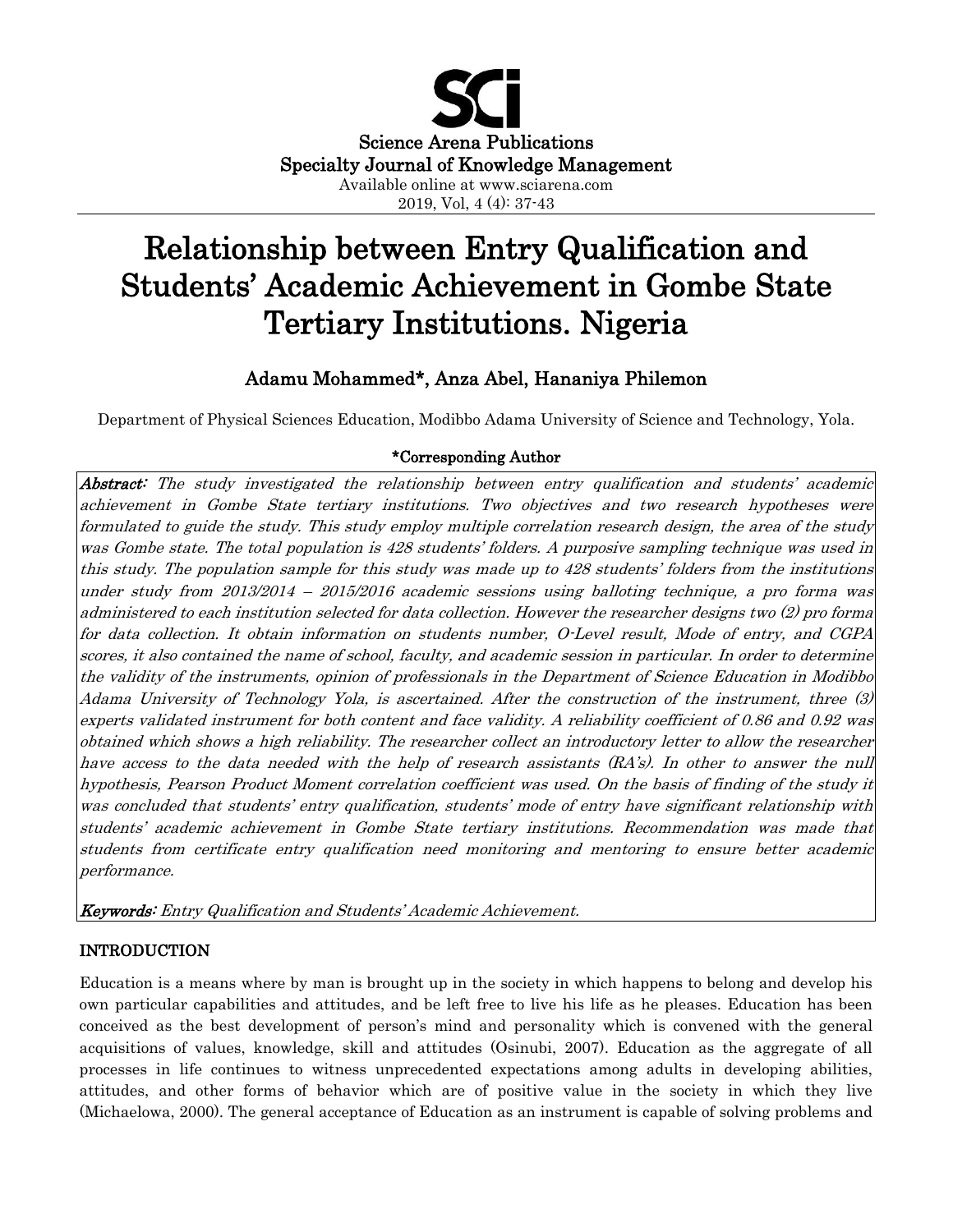

# Relationship between Entry Qualification and Students' Academic Achievement in Gombe State Tertiary Institutions. Nigeria

# Adamu Mohammed\*, Anza Abel, Hananiya Philemon

Department of Physical Sciences Education, Modibbo Adama University of Science and Technology, Yola.

## \*Corresponding Author

Abstract: The study investigated the relationship between entry qualification and students' academic achievement in Gombe State tertiary institutions. Two objectives and two research hypotheses were formulated to guide the study. This study employ multiple correlation research design, the area of the study was Gombe state. The total population is 428 students' folders. A purposive sampling technique was used in this study. The population sample for this study was made up to 428 students' folders from the institutions under study from 2013/2014 – 2015/2016 academic sessions using balloting technique, a pro forma was administered to each institution selected for data collection. However the researcher designs two (2) pro forma for data collection. It obtain information on students number, O-Level result, Mode of entry, and CGPA scores, it also contained the name of school, faculty, and academic session in particular. In order to determine the validity of the instruments, opinion of professionals in the Department of Science Education in Modibbo Adama University of Technology Yola, is ascertained. After the construction of the instrument, three (3) experts validated instrument for both content and face validity. A reliability coefficient of 0.86 and 0.92 was obtained which shows a high reliability. The researcher collect an introductory letter to allow the researcher have access to the data needed with the help of research assistants (RA's). In other to answer the null hypothesis, Pearson Product Moment correlation coefficient was used. On the basis of finding of the study it was concluded that students' entry qualification, students' mode of entry have significant relationship with students' academic achievement in Gombe State tertiary institutions. Recommendation was made that students from certificate entry qualification need monitoring and mentoring to ensure better academic performance.

Keywords: Entry Qualification and Students' Academic Achievement.

# INTRODUCTION

Education is a means where by man is brought up in the society in which happens to belong and develop his own particular capabilities and attitudes, and be left free to live his life as he pleases. Education has been conceived as the best development of person's mind and personality which is convened with the general acquisitions of values, knowledge, skill and attitudes (Osinubi, 2007). Education as the aggregate of all processes in life continues to witness unprecedented expectations among adults in developing abilities, attitudes, and other forms of behavior which are of positive value in the society in which they live (Michaelowa, 2000). The general acceptance of Education as an instrument is capable of solving problems and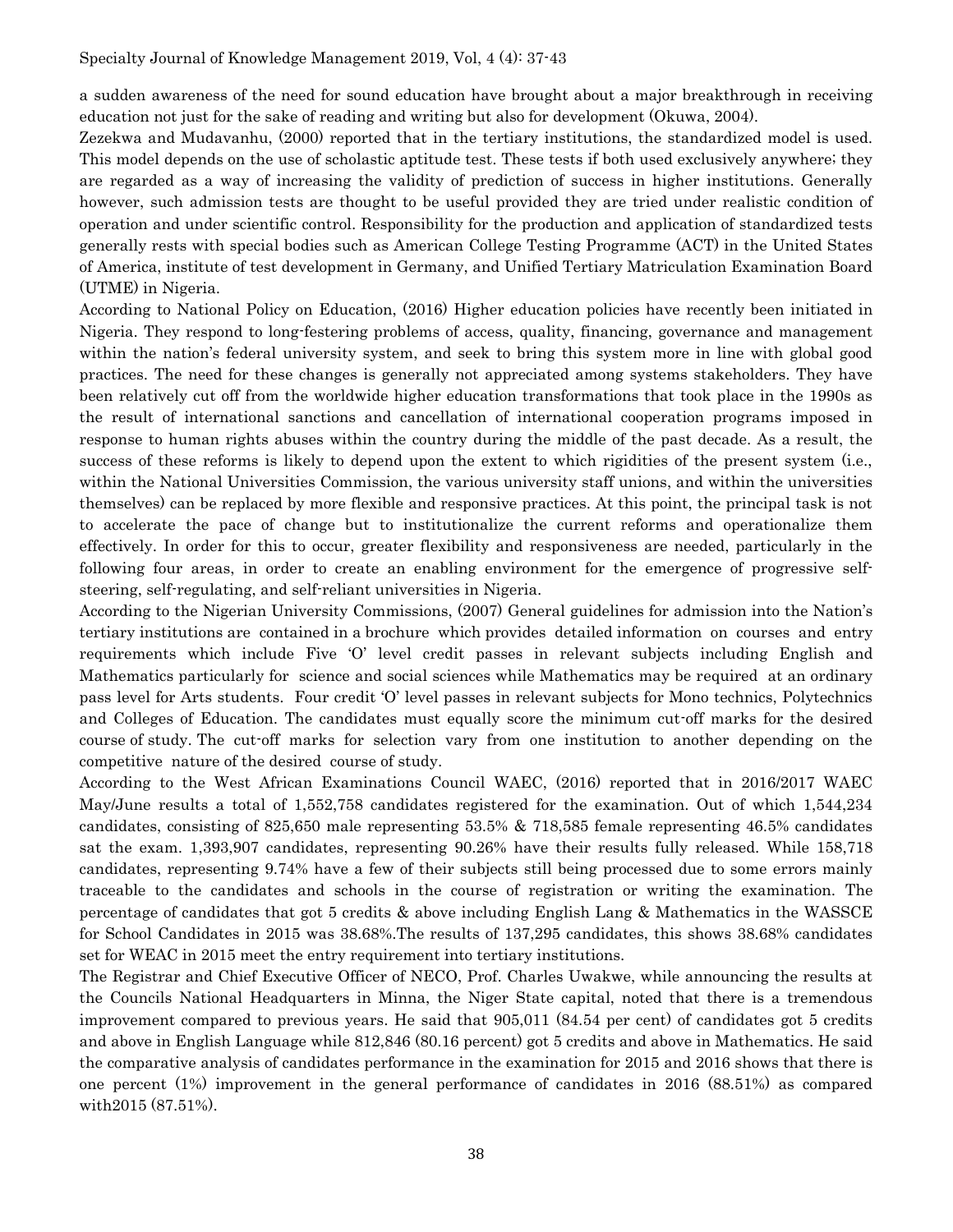a sudden awareness of the need for sound education have brought about a major breakthrough in receiving education not just for the sake of reading and writing but also for development (Okuwa, 2004).

Zezekwa and Mudavanhu, (2000) reported that in the tertiary institutions, the standardized model is used. This model depends on the use of scholastic aptitude test. These tests if both used exclusively anywhere; they are regarded as a way of increasing the validity of prediction of success in higher institutions. Generally however, such admission tests are thought to be useful provided they are tried under realistic condition of operation and under scientific control. Responsibility for the production and application of standardized tests generally rests with special bodies such as American College Testing Programme (ACT) in the United States of America, institute of test development in Germany, and Unified Tertiary Matriculation Examination Board (UTME) in Nigeria.

According to National Policy on Education, (2016) Higher education policies have recently been initiated in Nigeria. They respond to long-festering problems of access, quality, financing, governance and management within the nation's federal university system, and seek to bring this system more in line with global good practices. The need for these changes is generally not appreciated among systems stakeholders. They have been relatively cut off from the worldwide higher education transformations that took place in the 1990s as the result of international sanctions and cancellation of international cooperation programs imposed in response to human rights abuses within the country during the middle of the past decade. As a result, the success of these reforms is likely to depend upon the extent to which rigidities of the present system (i.e., within the National Universities Commission, the various university staff unions, and within the universities themselves) can be replaced by more flexible and responsive practices. At this point, the principal task is not to accelerate the pace of change but to institutionalize the current reforms and operationalize them effectively. In order for this to occur, greater flexibility and responsiveness are needed, particularly in the following four areas, in order to create an enabling environment for the emergence of progressive selfsteering, self-regulating, and self-reliant universities in Nigeria.

According to the Nigerian University Commissions, (2007) General guidelines for admission into the Nation's tertiary institutions are contained in a brochure which provides detailed information on courses and entry requirements which include Five 'O' level credit passes in relevant subjects including English and Mathematics particularly for science and social sciences while Mathematics may be required at an ordinary pass level for Arts students. Four credit 'O' level passes in relevant subjects for Mono technics, Polytechnics and Colleges of Education. The candidates must equally score the minimum cut-off marks for the desired course of study. The cut-off marks for selection vary from one institution to another depending on the competitive nature of the desired course of study.

According to the West African Examinations Council WAEC, (2016) reported that in 2016/2017 WAEC May/June results a total of 1,552,758 candidates registered for the examination. Out of which 1,544,234 candidates, consisting of 825,650 male representing 53.5% & 718,585 female representing 46.5% candidates sat the exam. 1,393,907 candidates, representing 90.26% have their results fully released. While 158,718 candidates, representing 9.74% have a few of their subjects still being processed due to some errors mainly traceable to the candidates and schools in the course of registration or writing the examination. The percentage of candidates that got 5 credits & above including English Lang & Mathematics in the WASSCE for School Candidates in 2015 was 38.68%.The results of 137,295 candidates, this shows 38.68% candidates set for WEAC in 2015 meet the entry requirement into tertiary institutions.

The Registrar and Chief Executive Officer of NECO, Prof. Charles Uwakwe, while announcing the results at the Councils National Headquarters in Minna, the Niger State capital, noted that there is a tremendous improvement compared to previous years. He said that 905,011 (84.54 per cent) of candidates got 5 credits and above in English Language while 812,846 (80.16 percent) got 5 credits and above in Mathematics. He said the comparative analysis of candidates performance in the examination for 2015 and 2016 shows that there is one percent (1%) improvement in the general performance of candidates in 2016 (88.51%) as compared with2015 (87.51%).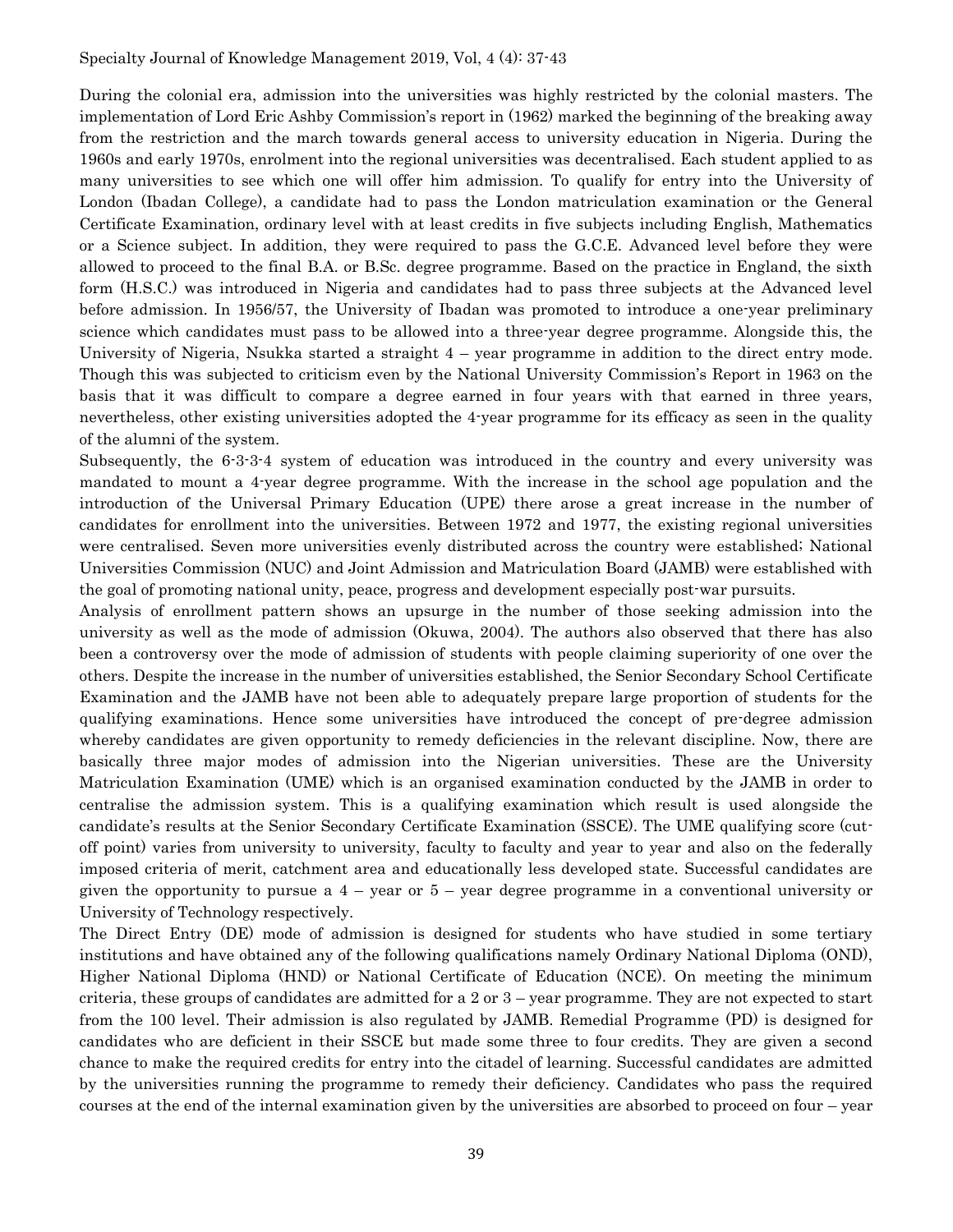During the colonial era, admission into the universities was highly restricted by the colonial masters. The implementation of Lord Eric Ashby Commission's report in (1962) marked the beginning of the breaking away from the restriction and the march towards general access to university education in Nigeria. During the 1960s and early 1970s, enrolment into the regional universities was decentralised. Each student applied to as many universities to see which one will offer him admission. To qualify for entry into the University of London (Ibadan College), a candidate had to pass the London matriculation examination or the General Certificate Examination, ordinary level with at least credits in five subjects including English, Mathematics or a Science subject. In addition, they were required to pass the G.C.E. Advanced level before they were allowed to proceed to the final B.A. or B.Sc. degree programme. Based on the practice in England, the sixth form (H.S.C.) was introduced in Nigeria and candidates had to pass three subjects at the Advanced level before admission. In 1956/57, the University of Ibadan was promoted to introduce a one-year preliminary science which candidates must pass to be allowed into a three-year degree programme. Alongside this, the University of Nigeria, Nsukka started a straight 4 – year programme in addition to the direct entry mode. Though this was subjected to criticism even by the National University Commission's Report in 1963 on the basis that it was difficult to compare a degree earned in four years with that earned in three years, nevertheless, other existing universities adopted the 4-year programme for its efficacy as seen in the quality of the alumni of the system.

Subsequently, the 6-3-3-4 system of education was introduced in the country and every university was mandated to mount a 4-year degree programme. With the increase in the school age population and the introduction of the Universal Primary Education (UPE) there arose a great increase in the number of candidates for enrollment into the universities. Between 1972 and 1977, the existing regional universities were centralised. Seven more universities evenly distributed across the country were established; National Universities Commission (NUC) and Joint Admission and Matriculation Board (JAMB) were established with the goal of promoting national unity, peace, progress and development especially post-war pursuits.

Analysis of enrollment pattern shows an upsurge in the number of those seeking admission into the university as well as the mode of admission (Okuwa, 2004). The authors also observed that there has also been a controversy over the mode of admission of students with people claiming superiority of one over the others. Despite the increase in the number of universities established, the Senior Secondary School Certificate Examination and the JAMB have not been able to adequately prepare large proportion of students for the qualifying examinations. Hence some universities have introduced the concept of pre-degree admission whereby candidates are given opportunity to remedy deficiencies in the relevant discipline. Now, there are basically three major modes of admission into the Nigerian universities. These are the University Matriculation Examination (UME) which is an organised examination conducted by the JAMB in order to centralise the admission system. This is a qualifying examination which result is used alongside the candidate's results at the Senior Secondary Certificate Examination (SSCE). The UME qualifying score (cutoff point) varies from university to university, faculty to faculty and year to year and also on the federally imposed criteria of merit, catchment area and educationally less developed state. Successful candidates are given the opportunity to pursue a  $4$  – year or  $5$  – year degree programme in a conventional university or University of Technology respectively.

The Direct Entry (DE) mode of admission is designed for students who have studied in some tertiary institutions and have obtained any of the following qualifications namely Ordinary National Diploma (OND), Higher National Diploma (HND) or National Certificate of Education (NCE). On meeting the minimum criteria, these groups of candidates are admitted for a 2 or 3 – year programme. They are not expected to start from the 100 level. Their admission is also regulated by JAMB. Remedial Programme (PD) is designed for candidates who are deficient in their SSCE but made some three to four credits. They are given a second chance to make the required credits for entry into the citadel of learning. Successful candidates are admitted by the universities running the programme to remedy their deficiency. Candidates who pass the required courses at the end of the internal examination given by the universities are absorbed to proceed on four – year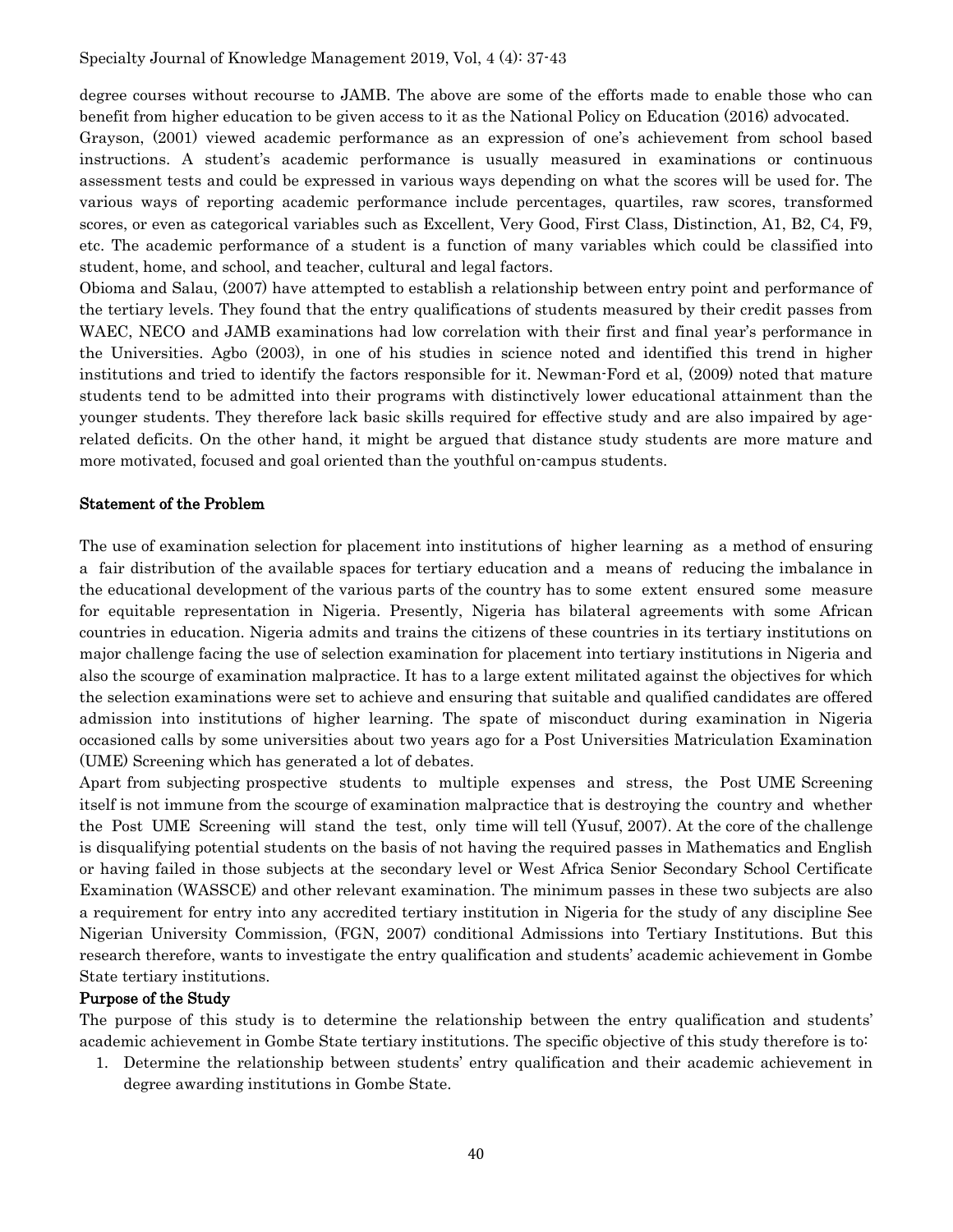degree courses without recourse to JAMB. The above are some of the efforts made to enable those who can benefit from higher education to be given access to it as the National Policy on Education (2016) advocated.

Grayson, (2001) viewed academic performance as an expression of one's achievement from school based instructions. A student's academic performance is usually measured in examinations or continuous assessment tests and could be expressed in various ways depending on what the scores will be used for. The various ways of reporting academic performance include percentages, quartiles, raw scores, transformed scores, or even as categorical variables such as Excellent, Very Good, First Class, Distinction, A1, B2, C4, F9, etc. The academic performance of a student is a function of many variables which could be classified into student, home, and school, and teacher, cultural and legal factors.

Obioma and Salau, (2007) have attempted to establish a relationship between entry point and performance of the tertiary levels. They found that the entry qualifications of students measured by their credit passes from WAEC, NECO and JAMB examinations had low correlation with their first and final year's performance in the Universities. Agbo (2003), in one of his studies in science noted and identified this trend in higher institutions and tried to identify the factors responsible for it. Newman-Ford et al, (2009) noted that mature students tend to be admitted into their programs with distinctively lower educational attainment than the younger students. They therefore lack basic skills required for effective study and are also impaired by agerelated deficits. On the other hand, it might be argued that distance study students are more mature and more motivated, focused and goal oriented than the youthful on-campus students.

#### Statement of the Problem

The use of examination selection for placement into institutions of higher learning as a method of ensuring a fair distribution of the available spaces for tertiary education and a means of reducing the imbalance in the educational development of the various parts of the country has to some extent ensured some measure for equitable representation in Nigeria. Presently, Nigeria has bilateral agreements with some African countries in education. Nigeria admits and trains the citizens of these countries in its tertiary institutions on major challenge facing the use of selection examination for placement into tertiary institutions in Nigeria and also the scourge of examination malpractice. It has to a large extent militated against the objectives for which the selection examinations were set to achieve and ensuring that suitable and qualified candidates are offered admission into institutions of higher learning. The spate of misconduct during examination in Nigeria occasioned calls by some universities about two years ago for a Post Universities Matriculation Examination (UME) Screening which has generated a lot of debates.

Apart from subjecting prospective students to multiple expenses and stress, the Post UME Screening itself is not immune from the scourge of examination malpractice that is destroying the country and whether the Post UME Screening will stand the test, only time will tell (Yusuf, 2007). At the core of the challenge is disqualifying potential students on the basis of not having the required passes in Mathematics and English or having failed in those subjects at the secondary level or West Africa Senior Secondary School Certificate Examination (WASSCE) and other relevant examination. The minimum passes in these two subjects are also a requirement for entry into any accredited tertiary institution in Nigeria for the study of any discipline See Nigerian University Commission, (FGN, 2007) conditional Admissions into Tertiary Institutions. But this research therefore, wants to investigate the entry qualification and students' academic achievement in Gombe State tertiary institutions.

#### Purpose of the Study

The purpose of this study is to determine the relationship between the entry qualification and students' academic achievement in Gombe State tertiary institutions. The specific objective of this study therefore is to:

1. Determine the relationship between students' entry qualification and their academic achievement in degree awarding institutions in Gombe State.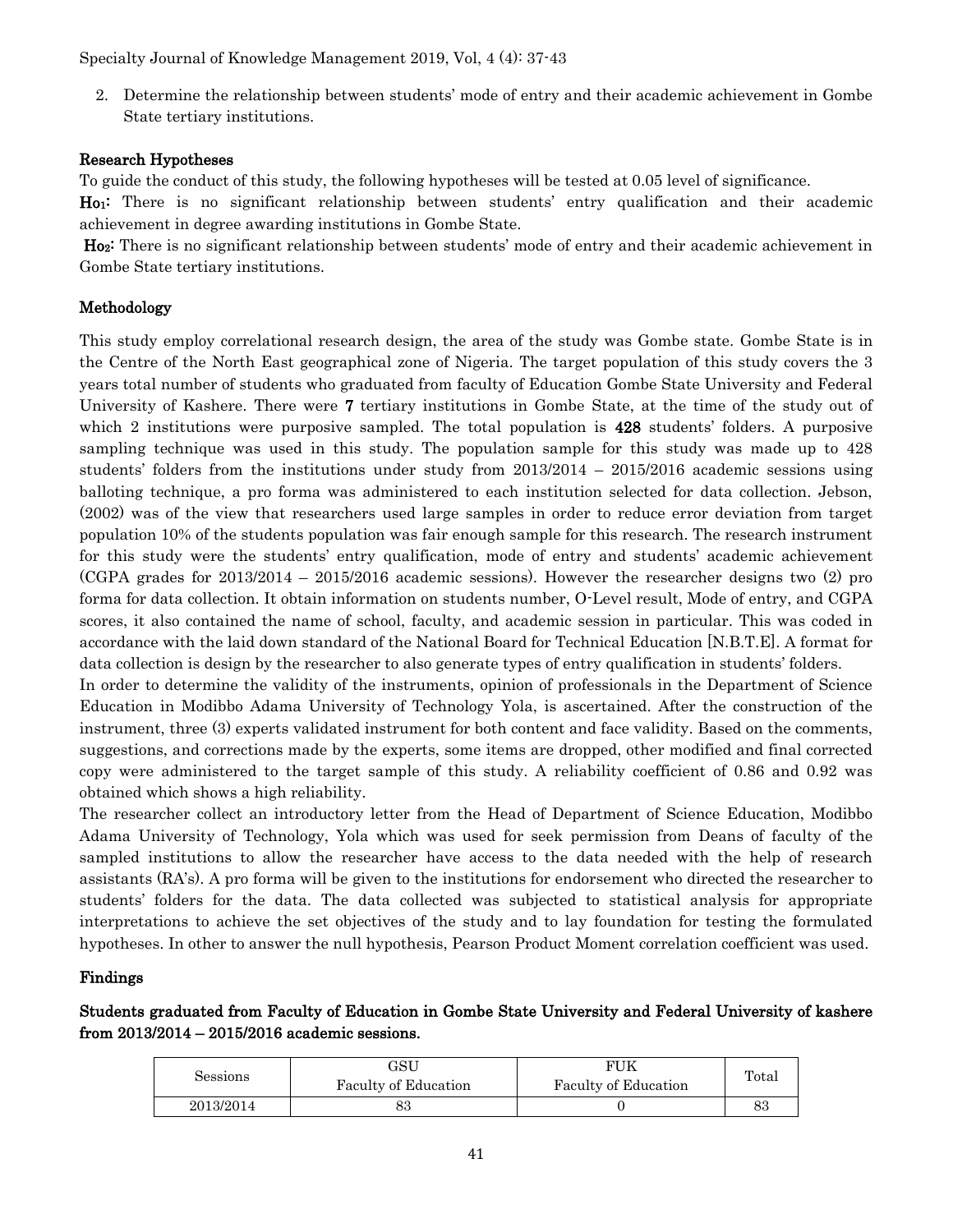Specialty Journal of Knowledge Management 2019, Vol, 4 (4): 37-43

2. Determine the relationship between students' mode of entry and their academic achievement in Gombe State tertiary institutions.

#### Research Hypotheses

To guide the conduct of this study, the following hypotheses will be tested at 0.05 level of significance.

Ho1: There is no significant relationship between students' entry qualification and their academic achievement in degree awarding institutions in Gombe State.

Ho2: There is no significant relationship between students' mode of entry and their academic achievement in Gombe State tertiary institutions.

#### Methodology

This study employ correlational research design, the area of the study was Gombe state. Gombe State is in the Centre of the North East geographical zone of Nigeria. The target population of this study covers the 3 years total number of students who graduated from faculty of Education Gombe State University and Federal University of Kashere. There were 7 tertiary institutions in Gombe State, at the time of the study out of which 2 institutions were purposive sampled. The total population is 428 students' folders. A purposive sampling technique was used in this study. The population sample for this study was made up to 428 students' folders from the institutions under study from 2013/2014 – 2015/2016 academic sessions using balloting technique, a pro forma was administered to each institution selected for data collection. Jebson, (2002) was of the view that researchers used large samples in order to reduce error deviation from target population 10% of the students population was fair enough sample for this research. The research instrument for this study were the students' entry qualification, mode of entry and students' academic achievement (CGPA grades for 2013/2014 – 2015/2016 academic sessions). However the researcher designs two (2) pro forma for data collection. It obtain information on students number, O-Level result, Mode of entry, and CGPA scores, it also contained the name of school, faculty, and academic session in particular. This was coded in accordance with the laid down standard of the National Board for Technical Education [N.B.T.E]. A format for data collection is design by the researcher to also generate types of entry qualification in students' folders.

In order to determine the validity of the instruments, opinion of professionals in the Department of Science Education in Modibbo Adama University of Technology Yola, is ascertained. After the construction of the instrument, three (3) experts validated instrument for both content and face validity. Based on the comments, suggestions, and corrections made by the experts, some items are dropped, other modified and final corrected copy were administered to the target sample of this study. A reliability coefficient of 0.86 and 0.92 was obtained which shows a high reliability.

The researcher collect an introductory letter from the Head of Department of Science Education, Modibbo Adama University of Technology, Yola which was used for seek permission from Deans of faculty of the sampled institutions to allow the researcher have access to the data needed with the help of research assistants (RA's). A pro forma will be given to the institutions for endorsement who directed the researcher to students' folders for the data. The data collected was subjected to statistical analysis for appropriate interpretations to achieve the set objectives of the study and to lay foundation for testing the formulated hypotheses. In other to answer the null hypothesis, Pearson Product Moment correlation coefficient was used.

#### Findings

### Students graduated from Faculty of Education in Gombe State University and Federal University of kashere from 2013/2014 – 2015/2016 academic sessions.

| Sessions  | GSU<br>Faculty of Education | FUK<br>Faculty of Education | Total |
|-----------|-----------------------------|-----------------------------|-------|
| 2013/2014 | oo                          |                             | 83    |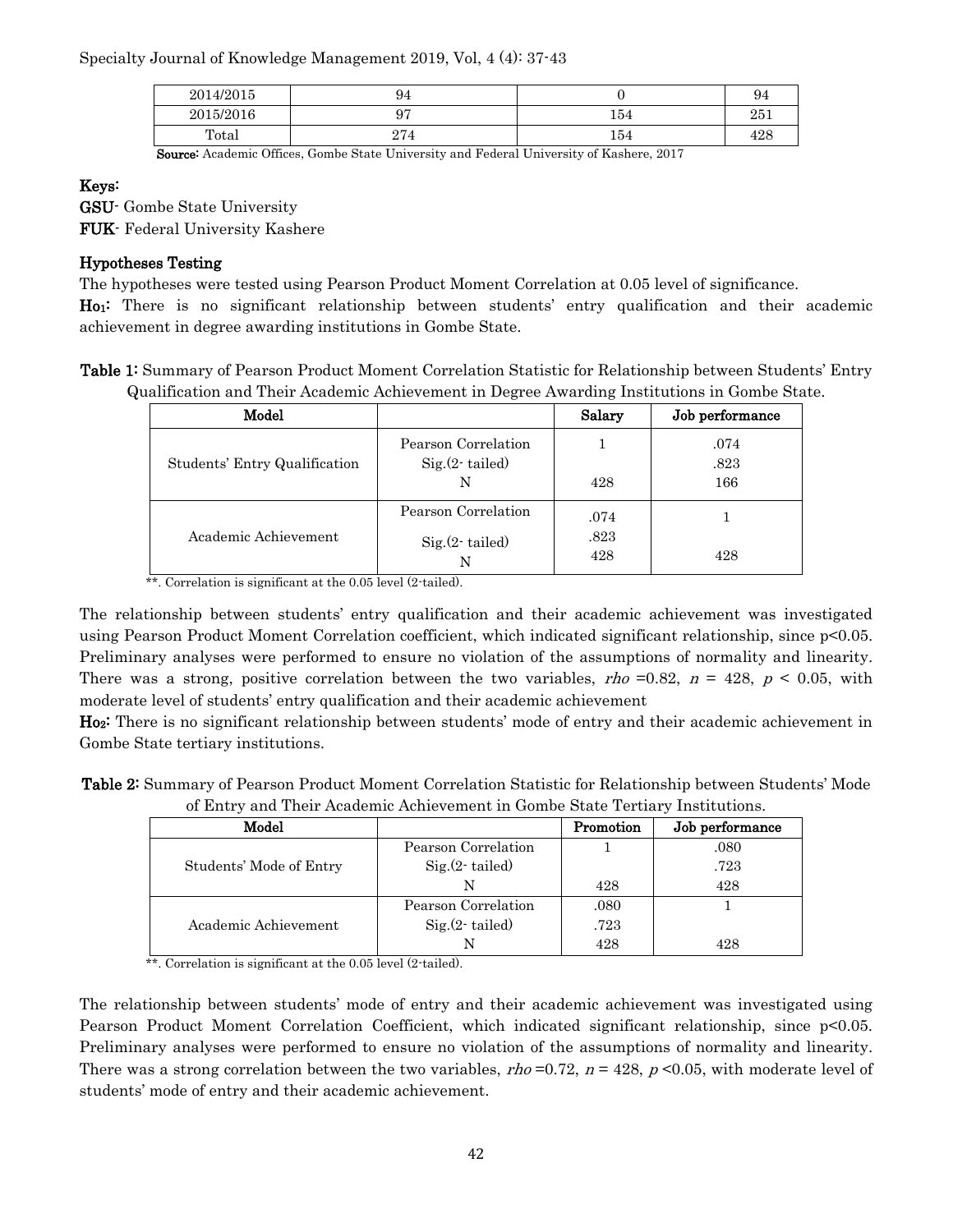Specialty Journal of Knowledge Management 2019, Vol, 4 (4): 37-43

| 2014/2015 | 94      |     | 94  |
|-----------|---------|-----|-----|
| 2015/2016 | о5<br>ັ | 154 | 251 |
| Total     | 274     | 154 | 428 |

Source: Academic Offices, Gombe State University and Federal University of Kashere, 2017

#### Keys:

GSU- Gombe State University

FUK- Federal University Kashere

#### Hypotheses Testing

The hypotheses were tested using Pearson Product Moment Correlation at 0.05 level of significance. Ho1: There is no significant relationship between students' entry qualification and their academic achievement in degree awarding institutions in Gombe State.

Table 1: Summary of Pearson Product Moment Correlation Statistic for Relationship between Students' Entry Qualification and Their Academic Achievement in Degree Awarding Institutions in Gombe State.

| Model                         |                                             | Salary              | Job performance     |
|-------------------------------|---------------------------------------------|---------------------|---------------------|
| Students' Entry Qualification | Pearson Correlation<br>$Sig(2-tailed)$<br>N | 428                 | .074<br>.823<br>166 |
| Academic Achievement          | Pearson Correlation<br>$Sig(2-tailed)$<br>N | .074<br>.823<br>428 | 428                 |

\*\*. Correlation is significant at the 0.05 level (2-tailed).

The relationship between students' entry qualification and their academic achievement was investigated using Pearson Product Moment Correlation coefficient, which indicated significant relationship, since p<0.05. Preliminary analyses were performed to ensure no violation of the assumptions of normality and linearity. There was a strong, positive correlation between the two variables, rho =0.82,  $n = 428$ ,  $p \le 0.05$ , with moderate level of students' entry qualification and their academic achievement

Ho<sub>2</sub>: There is no significant relationship between students' mode of entry and their academic achievement in Gombe State tertiary institutions.

Table 2: Summary of Pearson Product Moment Correlation Statistic for Relationship between Students' Mode of Entry and Their Academic Achievement in Gombe State Tertiary Institutions.

| Model                   |                     | Promotion | Job performance |
|-------------------------|---------------------|-----------|-----------------|
|                         | Pearson Correlation |           | .080            |
| Students' Mode of Entry | $Sig(2-tailed)$     |           | .723            |
|                         | N                   | 428       | 428             |
|                         | Pearson Correlation | .080      |                 |
| Academic Achievement    | $Sig(2-tailed)$     | .723      |                 |
|                         |                     | 428       | 428             |

\*\*. Correlation is significant at the 0.05 level (2-tailed).

The relationship between students' mode of entry and their academic achievement was investigated using Pearson Product Moment Correlation Coefficient, which indicated significant relationship, since p<0.05. Preliminary analyses were performed to ensure no violation of the assumptions of normality and linearity. There was a strong correlation between the two variables,  $rho = 0.72$ ,  $n = 428$ ,  $p \le 0.05$ , with moderate level of students' mode of entry and their academic achievement.